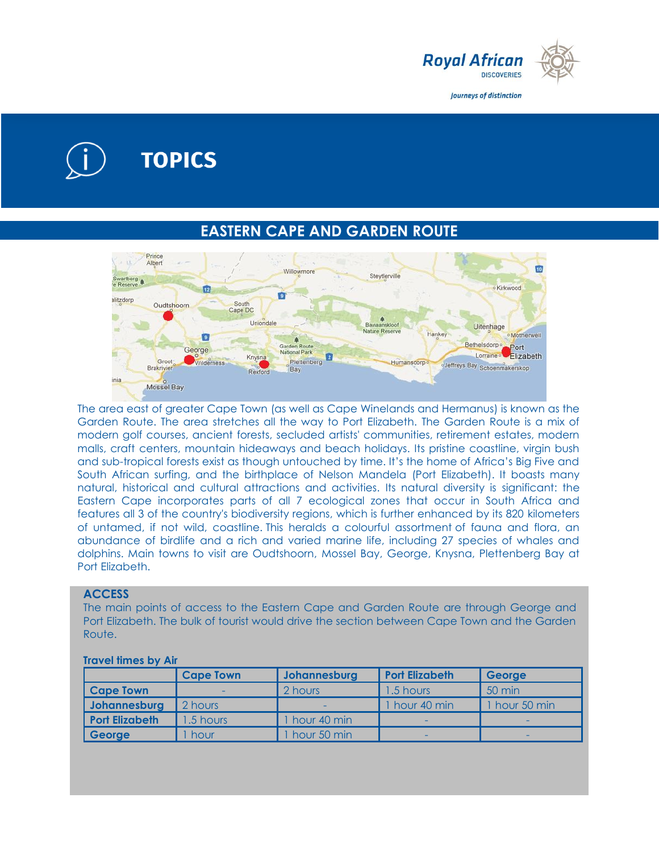

Journeys of distinction

# **TOPICS**

# **EASTERN CAPE AND GARDEN ROUTE**



The area east of greater Cape Town (as well as Cape Winelands and Hermanus) is known as the Garden Route. The area stretches all the way to Port Elizabeth. The Garden Route is a mix of modern golf courses, ancient forests, secluded artists' communities, retirement estates, modern malls, craft centers, mountain hideaways and beach holidays. Its pristine coastline, virgin bush and sub-tropical forests exist as though untouched by time. It's the home of Africa's Big Five and South African surfing, and the birthplace of Nelson Mandela (Port Elizabeth). It boasts many natural, historical and cultural attractions and activities. Its natural diversity is significant: the Eastern Cape incorporates parts of all 7 ecological zones that occur in South Africa and features all 3 of the country's biodiversity regions, which is further enhanced by its 820 kilometers of untamed, if not wild, coastline. This heralds a colourful assortment of fauna and flora, an abundance of birdlife and a rich and varied marine life, including 27 species of whales and dolphins. Main towns to visit are Oudtshoorn, Mossel Bay, George, Knysna, Plettenberg Bay at Port Elizabeth.

#### **ACCESS**

The main points of access to the Eastern Cape and Garden Route are through George and Port Elizabeth. The bulk of tourist would drive the section between Cape Town and the Garden Route.

|                       | <b>Cape Town</b> | Johannesburg | <b>Port Elizabeth</b> | George        |
|-----------------------|------------------|--------------|-----------------------|---------------|
| <b>Cape Town</b>      |                  | 2 hours      | 1.5 hours             | 50 min        |
| Johannesburg          | 2 hours          |              | hour 40 min           | 1 hour 50 min |
| <b>Port Elizabeth</b> | 1.5 hours        | hour 40 min  | -                     | -             |
| George                | hour             | hour 50 min  | -                     | -             |

#### **Travel times by Air**